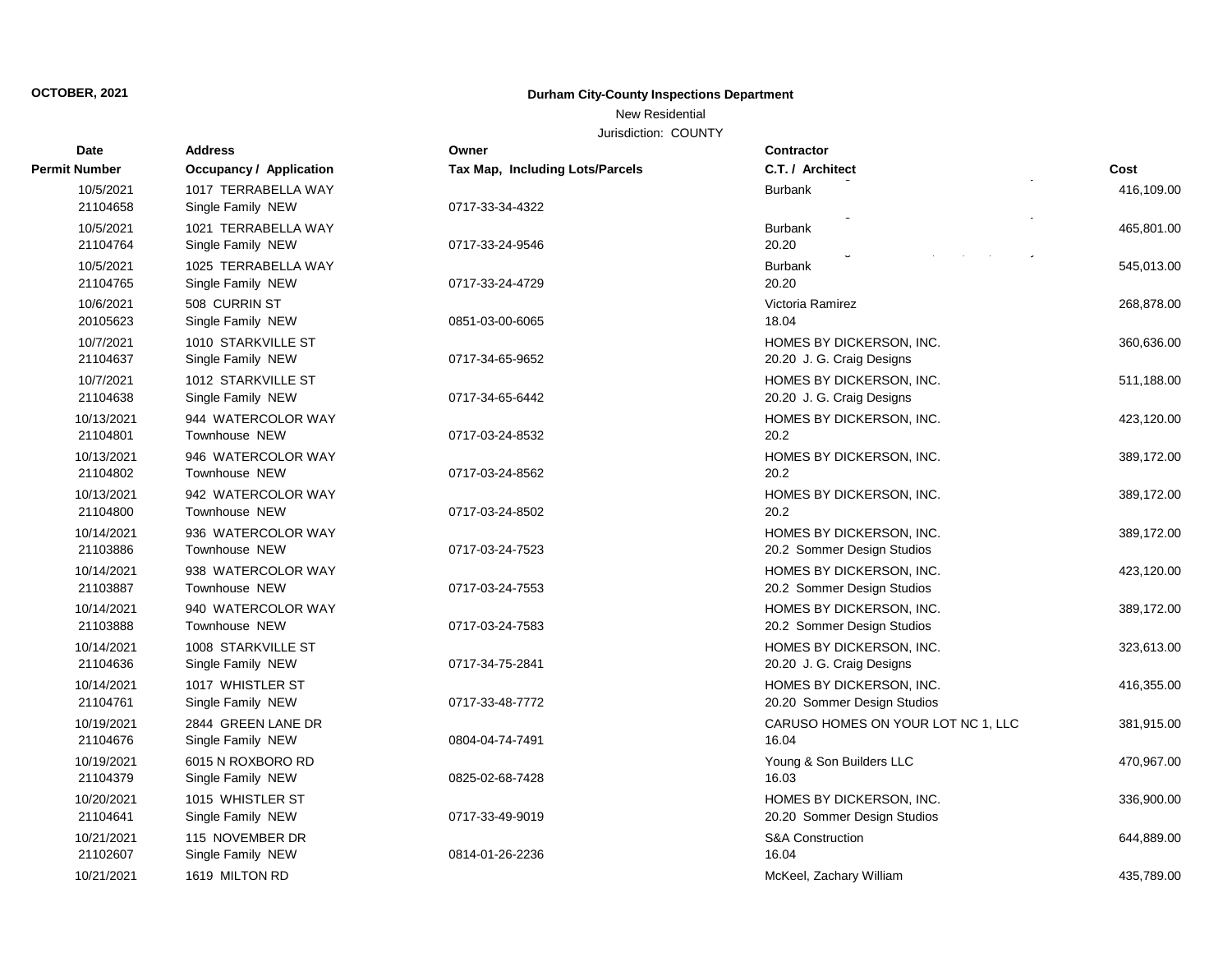# **OCTOBER, 2021 Durham City-County Inspections Department**

### New Residential

Jurisdiction: COUNTY

| <b>Date</b>   | <b>Address</b>                 | Owner                           | <b>Contractor</b>                  |            |
|---------------|--------------------------------|---------------------------------|------------------------------------|------------|
| Permit Number | <b>Occupancy / Application</b> | Tax Map, Including Lots/Parcels | C.T. / Architect                   | Cost       |
| 10/5/2021     | 1017 TERRABELLA WAY            |                                 | <b>Burbank</b>                     | 416,109.00 |
| 21104658      | Single Family NEW              | 0717-33-34-4322                 |                                    |            |
| 10/5/2021     | 1021 TERRABELLA WAY            |                                 | Burbank                            | 465,801.00 |
| 21104764      | Single Family NEW              | 0717-33-24-9546                 | 20.20                              |            |
| 10/5/2021     | 1025 TERRABELLA WAY            |                                 | Burbank                            | 545,013.00 |
| 21104765      | Single Family NEW              | 0717-33-24-4729                 | 20.20                              |            |
| 10/6/2021     | 508 CURRIN ST                  |                                 | Victoria Ramirez                   | 268,878.00 |
| 20105623      | Single Family NEW              | 0851-03-00-6065                 | 18.04                              |            |
| 10/7/2021     | 1010 STARKVILLE ST             |                                 | HOMES BY DICKERSON, INC.           | 360,636.00 |
| 21104637      | Single Family NEW              | 0717-34-65-9652                 | 20.20 J. G. Craig Designs          |            |
| 10/7/2021     | 1012 STARKVILLE ST             |                                 | HOMES BY DICKERSON, INC.           | 511,188.00 |
| 21104638      | Single Family NEW              | 0717-34-65-6442                 | 20.20 J. G. Craig Designs          |            |
| 10/13/2021    | 944 WATERCOLOR WAY             |                                 | HOMES BY DICKERSON, INC.           | 423,120.00 |
| 21104801      | Townhouse NEW                  | 0717-03-24-8532                 | 20.2                               |            |
| 10/13/2021    | 946 WATERCOLOR WAY             |                                 | HOMES BY DICKERSON, INC.           | 389,172.00 |
| 21104802      | Townhouse NEW                  | 0717-03-24-8562                 | 20.2                               |            |
| 10/13/2021    | 942 WATERCOLOR WAY             |                                 | HOMES BY DICKERSON, INC.           | 389,172.00 |
| 21104800      | Townhouse NEW                  | 0717-03-24-8502                 | 20.2                               |            |
| 10/14/2021    | 936 WATERCOLOR WAY             |                                 | HOMES BY DICKERSON, INC.           | 389,172.00 |
| 21103886      | Townhouse NEW                  | 0717-03-24-7523                 | 20.2 Sommer Design Studios         |            |
| 10/14/2021    | 938 WATERCOLOR WAY             |                                 | HOMES BY DICKERSON, INC.           | 423,120.00 |
| 21103887      | Townhouse NEW                  | 0717-03-24-7553                 | 20.2 Sommer Design Studios         |            |
| 10/14/2021    | 940 WATERCOLOR WAY             |                                 | HOMES BY DICKERSON, INC.           | 389,172.00 |
| 21103888      | Townhouse NEW                  | 0717-03-24-7583                 | 20.2 Sommer Design Studios         |            |
| 10/14/2021    | 1008 STARKVILLE ST             |                                 | HOMES BY DICKERSON, INC.           | 323,613.00 |
| 21104636      | Single Family NEW              | 0717-34-75-2841                 | 20.20 J. G. Craig Designs          |            |
| 10/14/2021    | 1017 WHISTLER ST               |                                 | HOMES BY DICKERSON, INC.           | 416,355.00 |
| 21104761      | Single Family NEW              | 0717-33-48-7772                 | 20.20 Sommer Design Studios        |            |
| 10/19/2021    | 2844 GREEN LANE DR             |                                 | CARUSO HOMES ON YOUR LOT NC 1, LLC | 381,915.00 |
| 21104676      | Single Family NEW              | 0804-04-74-7491                 | 16.04                              |            |
| 10/19/2021    | 6015 N ROXBORO RD              |                                 | Young & Son Builders LLC           | 470,967.00 |
| 21104379      | Single Family NEW              | 0825-02-68-7428                 | 16.03                              |            |
| 10/20/2021    | 1015 WHISTLER ST               |                                 | HOMES BY DICKERSON, INC.           | 336,900.00 |
| 21104641      | Single Family NEW              | 0717-33-49-9019                 | 20.20 Sommer Design Studios        |            |
| 10/21/2021    | 115 NOVEMBER DR                |                                 | <b>S&amp;A Construction</b>        | 644,889.00 |
| 21102607      | Single Family NEW              | 0814-01-26-2236                 | 16.04                              |            |
| 10/21/2021    | 1619 MILTON RD                 |                                 | McKeel, Zachary William            | 435,789.00 |